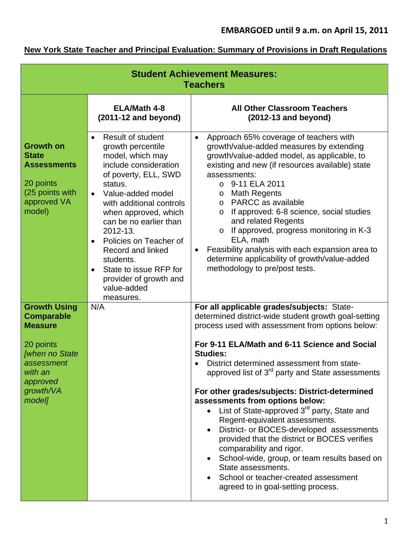| <b>Student Achievement Measures:</b><br><b>Teachers</b>                                                         |                                                                                                                                                                                                                                                                                                                                                                                                                                              |                                                                                                                                                                                                                                                                                                                                                                                                                                                                                                                                                                                                                                              |  |  |
|-----------------------------------------------------------------------------------------------------------------|----------------------------------------------------------------------------------------------------------------------------------------------------------------------------------------------------------------------------------------------------------------------------------------------------------------------------------------------------------------------------------------------------------------------------------------------|----------------------------------------------------------------------------------------------------------------------------------------------------------------------------------------------------------------------------------------------------------------------------------------------------------------------------------------------------------------------------------------------------------------------------------------------------------------------------------------------------------------------------------------------------------------------------------------------------------------------------------------------|--|--|
|                                                                                                                 | ELA/Math 4-8<br>$(2011-12$ and beyond)                                                                                                                                                                                                                                                                                                                                                                                                       | <b>All Other Classroom Teachers</b><br>$(2012-13$ and beyond)                                                                                                                                                                                                                                                                                                                                                                                                                                                                                                                                                                                |  |  |
| <b>Growth on</b><br><b>State</b><br><b>Assessments</b><br>20 points<br>(25 points with<br>approved VA<br>model) | <b>Result of student</b><br>$\bullet$<br>growth percentile<br>model, which may<br>include consideration<br>of poverty, ELL, SWD<br>status.<br>Value-added model<br>$\bullet$<br>with additional controls<br>when approved, which<br>can be no earlier than<br>2012-13.<br>Policies on Teacher of<br>$\bullet$<br>Record and linked<br>students.<br>State to issue RFP for<br>$\bullet$<br>provider of growth and<br>value-added<br>measures. | Approach 65% coverage of teachers with<br>$\bullet$<br>growth/value-added measures by extending<br>growth/value-added model, as applicable, to<br>existing and new (if resources available) state<br>assessments:<br>$\circ$ 9-11 ELA 2011<br><b>Math Regents</b><br>$\circ$<br>o PARCC as available<br>If approved: 6-8 science, social studies<br>$\circ$<br>and related Regents<br>If approved, progress monitoring in K-3<br>$\circ$<br>ELA, math<br>Feasibility analysis with each expansion area to<br>$\bullet$<br>determine applicability of growth/value-added<br>methodology to pre/post tests.                                    |  |  |
| <b>Growth Using</b><br><b>Comparable</b><br><b>Measure</b>                                                      | N/A                                                                                                                                                                                                                                                                                                                                                                                                                                          | For all applicable grades/subjects: State-<br>determined district-wide student growth goal-setting<br>process used with assessment from options below:                                                                                                                                                                                                                                                                                                                                                                                                                                                                                       |  |  |
| 20 points<br><b>[when no State</b><br>assessment<br>with an<br>approved<br>growth/VA<br>model]                  |                                                                                                                                                                                                                                                                                                                                                                                                                                              | For 9-11 ELA/Math and 6-11 Science and Social<br><b>Studies:</b><br>District determined assessment from state-<br>approved list of 3 <sup>rd</sup> party and State assessments<br>For other grades/subjects: District-determined<br>assessments from options below:<br>List of State-approved 3 <sup>rd</sup> party, State and<br>Regent-equivalent assessments.<br>District- or BOCES-developed assessments<br>provided that the district or BOCES verifies<br>comparability and rigor.<br>School-wide, group, or team results based on<br>State assessments.<br>School or teacher-created assessment<br>agreed to in goal-setting process. |  |  |

## **New York State Teacher and Principal Evaluation: Summary of Provisions in Draft Regulations**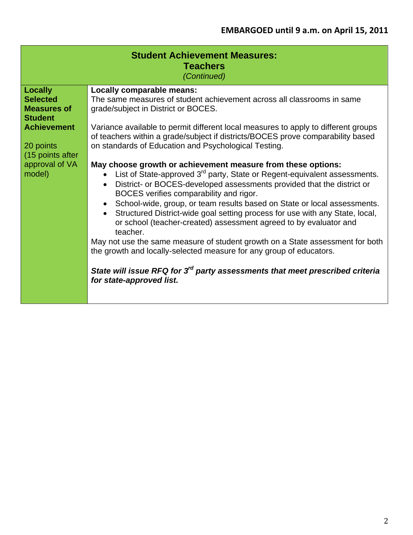| <b>Student Achievement Measures:</b><br><b>Teachers</b><br>(Continued)                                                                                       |                                                                                                                                                                                                                                                                                                                                                                                                                                                                                                                                                                                                                                                                                                                                                                                                                                                                                                                                                                                                                                                                                                                                                                                          |  |  |
|--------------------------------------------------------------------------------------------------------------------------------------------------------------|------------------------------------------------------------------------------------------------------------------------------------------------------------------------------------------------------------------------------------------------------------------------------------------------------------------------------------------------------------------------------------------------------------------------------------------------------------------------------------------------------------------------------------------------------------------------------------------------------------------------------------------------------------------------------------------------------------------------------------------------------------------------------------------------------------------------------------------------------------------------------------------------------------------------------------------------------------------------------------------------------------------------------------------------------------------------------------------------------------------------------------------------------------------------------------------|--|--|
| <b>Locally</b><br><b>Selected</b><br><b>Measures of</b><br><b>Student</b><br><b>Achievement</b><br>20 points<br>(15 points after<br>approval of VA<br>model) | Locally comparable means:<br>The same measures of student achievement across all classrooms in same<br>grade/subject in District or BOCES.<br>Variance available to permit different local measures to apply to different groups<br>of teachers within a grade/subject if districts/BOCES prove comparability based<br>on standards of Education and Psychological Testing.<br>May choose growth or achievement measure from these options:<br>List of State-approved 3 <sup>rd</sup> party, State or Regent-equivalent assessments.<br>$\bullet$<br>District- or BOCES-developed assessments provided that the district or<br>$\bullet$<br>BOCES verifies comparability and rigor.<br>• School-wide, group, or team results based on State or local assessments.<br>• Structured District-wide goal setting process for use with any State, local,<br>or school (teacher-created) assessment agreed to by evaluator and<br>teacher.<br>May not use the same measure of student growth on a State assessment for both<br>the growth and locally-selected measure for any group of educators.<br>State will issue RFQ for 3 <sup>rd</sup> party assessments that meet prescribed criteria |  |  |
|                                                                                                                                                              | for state-approved list.                                                                                                                                                                                                                                                                                                                                                                                                                                                                                                                                                                                                                                                                                                                                                                                                                                                                                                                                                                                                                                                                                                                                                                 |  |  |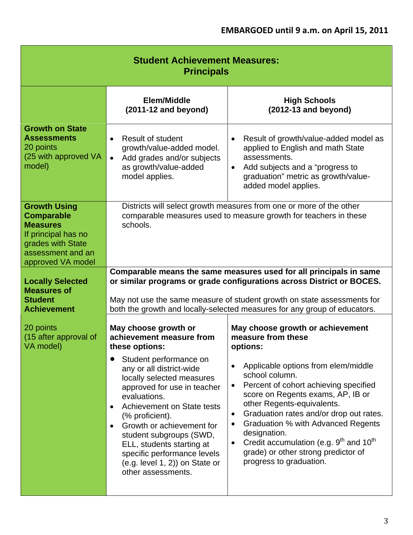| <b>Student Achievement Measures:</b><br><b>Principals</b>                                                                                         |                                                                                                                                                                                                                                                                                                                                                                                                                                                                           |                                                                                                                                                                                                                                                                                                                                                                                                                                                                                                                        |  |  |
|---------------------------------------------------------------------------------------------------------------------------------------------------|---------------------------------------------------------------------------------------------------------------------------------------------------------------------------------------------------------------------------------------------------------------------------------------------------------------------------------------------------------------------------------------------------------------------------------------------------------------------------|------------------------------------------------------------------------------------------------------------------------------------------------------------------------------------------------------------------------------------------------------------------------------------------------------------------------------------------------------------------------------------------------------------------------------------------------------------------------------------------------------------------------|--|--|
|                                                                                                                                                   | Elem/Middle<br>$(2011-12$ and beyond)                                                                                                                                                                                                                                                                                                                                                                                                                                     | <b>High Schools</b><br>$(2012-13$ and beyond)                                                                                                                                                                                                                                                                                                                                                                                                                                                                          |  |  |
| <b>Growth on State</b><br><b>Assessments</b><br>20 points<br>(25 with approved VA<br>model)                                                       | <b>Result of student</b><br>$\bullet$<br>growth/value-added model.<br>Add grades and/or subjects<br>$\bullet$<br>as growth/value-added<br>model applies.                                                                                                                                                                                                                                                                                                                  | Result of growth/value-added model as<br>$\bullet$<br>applied to English and math State<br>assessments.<br>Add subjects and a "progress to<br>$\bullet$<br>graduation" metric as growth/value-<br>added model applies.                                                                                                                                                                                                                                                                                                 |  |  |
| <b>Growth Using</b><br><b>Comparable</b><br><b>Measures</b><br>If principal has no<br>grades with State<br>assessment and an<br>approved VA model | Districts will select growth measures from one or more of the other<br>comparable measures used to measure growth for teachers in these<br>schools.                                                                                                                                                                                                                                                                                                                       |                                                                                                                                                                                                                                                                                                                                                                                                                                                                                                                        |  |  |
| <b>Locally Selected</b>                                                                                                                           | Comparable means the same measures used for all principals in same<br>or similar programs or grade configurations across District or BOCES.                                                                                                                                                                                                                                                                                                                               |                                                                                                                                                                                                                                                                                                                                                                                                                                                                                                                        |  |  |
| <b>Measures of</b><br><b>Student</b><br><b>Achievement</b>                                                                                        | May not use the same measure of student growth on state assessments for<br>both the growth and locally-selected measures for any group of educators.                                                                                                                                                                                                                                                                                                                      |                                                                                                                                                                                                                                                                                                                                                                                                                                                                                                                        |  |  |
| 20 points<br>(15 after approval of<br>VA model)                                                                                                   | May choose growth or<br>achievement measure from<br>these options:<br>Student performance on<br>$\bullet$<br>any or all district-wide<br>locally selected measures<br>approved for use in teacher<br>evaluations.<br>Achievement on State tests<br>$\bullet$<br>(% proficient).<br>Growth or achievement for<br>$\bullet$<br>student subgroups (SWD,<br>ELL, students starting at<br>specific performance levels<br>$(e.g. level 1, 2)$ on State or<br>other assessments. | May choose growth or achievement<br>measure from these<br>options:<br>Applicable options from elem/middle<br>school column.<br>Percent of cohort achieving specified<br>$\bullet$<br>score on Regents exams, AP, IB or<br>other Regents-equivalents.<br>Graduation rates and/or drop out rates.<br>$\bullet$<br>Graduation % with Advanced Regents<br>$\bullet$<br>designation.<br>Credit accumulation (e.g. $9th$ and 10 <sup>th</sup><br>$\bullet$<br>grade) or other strong predictor of<br>progress to graduation. |  |  |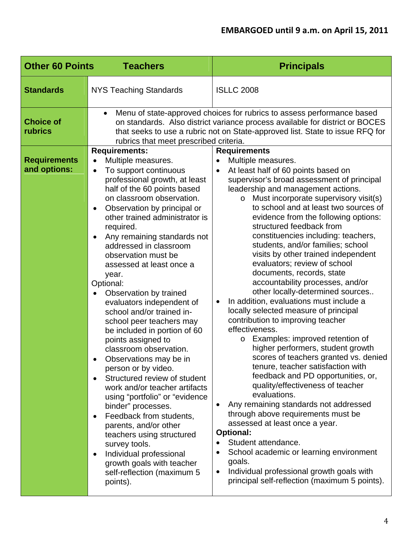| <b>Other 60 Points</b><br><b>Teachers</b> |                                                                                                                                                                                                                                                                                                                                                                                                                                                                                                                                                                                                                                                                                                                                                                                                                                                                                                                                                                                  | <b>Principals</b>                                                                                                                                                                                                                                                                                                                                                                                                                                                                                                                                                                                                                                                                                                                                                                                                                                                                                                                                                                                                                                                                                                                                                                                                                                                                                                                                           |  |  |  |
|-------------------------------------------|----------------------------------------------------------------------------------------------------------------------------------------------------------------------------------------------------------------------------------------------------------------------------------------------------------------------------------------------------------------------------------------------------------------------------------------------------------------------------------------------------------------------------------------------------------------------------------------------------------------------------------------------------------------------------------------------------------------------------------------------------------------------------------------------------------------------------------------------------------------------------------------------------------------------------------------------------------------------------------|-------------------------------------------------------------------------------------------------------------------------------------------------------------------------------------------------------------------------------------------------------------------------------------------------------------------------------------------------------------------------------------------------------------------------------------------------------------------------------------------------------------------------------------------------------------------------------------------------------------------------------------------------------------------------------------------------------------------------------------------------------------------------------------------------------------------------------------------------------------------------------------------------------------------------------------------------------------------------------------------------------------------------------------------------------------------------------------------------------------------------------------------------------------------------------------------------------------------------------------------------------------------------------------------------------------------------------------------------------------|--|--|--|
| <b>Standards</b>                          | <b>NYS Teaching Standards</b>                                                                                                                                                                                                                                                                                                                                                                                                                                                                                                                                                                                                                                                                                                                                                                                                                                                                                                                                                    | <b>ISLLC 2008</b>                                                                                                                                                                                                                                                                                                                                                                                                                                                                                                                                                                                                                                                                                                                                                                                                                                                                                                                                                                                                                                                                                                                                                                                                                                                                                                                                           |  |  |  |
| <b>Choice of</b><br>rubrics               | Menu of state-approved choices for rubrics to assess performance based<br>$\bullet$<br>on standards. Also district variance process available for district or BOCES<br>that seeks to use a rubric not on State-approved list. State to issue RFQ for<br>rubrics that meet prescribed criteria.                                                                                                                                                                                                                                                                                                                                                                                                                                                                                                                                                                                                                                                                                   |                                                                                                                                                                                                                                                                                                                                                                                                                                                                                                                                                                                                                                                                                                                                                                                                                                                                                                                                                                                                                                                                                                                                                                                                                                                                                                                                                             |  |  |  |
| <b>Requirements</b><br>and options:       | <b>Requirements:</b><br>Multiple measures.<br>To support continuous<br>$\bullet$<br>professional growth, at least<br>half of the 60 points based<br>on classroom observation.<br>Observation by principal or<br>other trained administrator is<br>required.<br>Any remaining standards not<br>addressed in classroom<br>observation must be<br>assessed at least once a<br>year.<br>Optional:<br>Observation by trained<br>evaluators independent of<br>school and/or trained in-<br>school peer teachers may<br>be included in portion of 60<br>points assigned to<br>classroom observation.<br>Observations may be in<br>person or by video.<br>Structured review of student<br>work and/or teacher artifacts<br>using "portfolio" or "evidence<br>binder" processes.<br>Feedback from students,<br>parents, and/or other<br>teachers using structured<br>survey tools.<br>Individual professional<br>٠<br>growth goals with teacher<br>self-reflection (maximum 5<br>points). | <b>Requirements</b><br>Multiple measures.<br>At least half of 60 points based on<br>$\bullet$<br>supervisor's broad assessment of principal<br>leadership and management actions.<br>Must incorporate supervisory visit(s)<br>$\circ$<br>to school and at least two sources of<br>evidence from the following options:<br>structured feedback from<br>constituencies including: teachers,<br>students, and/or families; school<br>visits by other trained independent<br>evaluators; review of school<br>documents, records, state<br>accountability processes, and/or<br>other locally-determined sources<br>In addition, evaluations must include a<br>locally selected measure of principal<br>contribution to improving teacher<br>effectiveness.<br>Examples: improved retention of<br>higher performers, student growth<br>scores of teachers granted vs. denied<br>tenure, teacher satisfaction with<br>feedback and PD opportunities, or,<br>quality/effectiveness of teacher<br>evaluations.<br>Any remaining standards not addressed<br>$\bullet$<br>through above requirements must be<br>assessed at least once a year.<br><b>Optional:</b><br>Student attendance.<br>$\bullet$<br>School academic or learning environment<br>goals.<br>Individual professional growth goals with<br>$\bullet$<br>principal self-reflection (maximum 5 points). |  |  |  |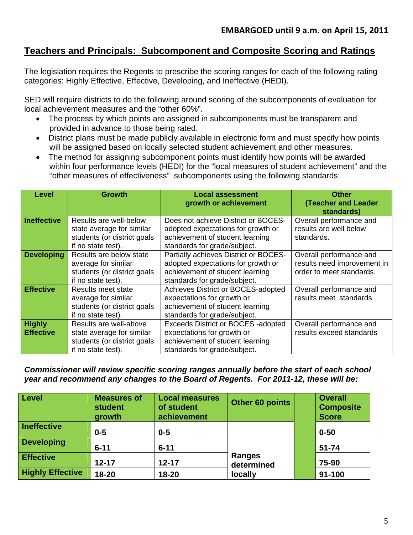## **Teachers and Principals: Subcomponent and Composite Scoring and Ratings**

The legislation requires the Regents to prescribe the scoring ranges for each of the following rating categories: Highly Effective, Effective, Developing, and Ineffective (HEDI).

SED will require districts to do the following around scoring of the subcomponents of evaluation for local achievement measures and the "other 60%".

- The process by which points are assigned in subcomponents must be transparent and provided in advance to those being rated.
- District plans must be made publicly available in electronic form and must specify how points will be assigned based on locally selected student achievement and other measures.
- The method for assigning subcomponent points must identify how points will be awarded within four performance levels (HEDI) for the "local measures of student achievement" and the "other measures of effectiveness" subcomponents using the following standards:

| Level                             | Growth                                                                                                   | <b>Local assessment</b><br>growth or achievement                                                                                               | <b>Other</b><br><b>(Teacher and Leader</b><br>standards)                           |
|-----------------------------------|----------------------------------------------------------------------------------------------------------|------------------------------------------------------------------------------------------------------------------------------------------------|------------------------------------------------------------------------------------|
| <b>Ineffective</b>                | Results are well-below<br>state average for similar<br>students (or district goals<br>if no state test). | Does not achieve District or BOCES-<br>adopted expectations for growth or<br>achievement of student learning<br>standards for grade/subject.   | Overall performance and<br>results are well below<br>standards.                    |
| <b>Developing</b>                 | Results are below state<br>average for similar<br>students (or district goals<br>if no state test).      | Partially achieves District or BOCES-<br>adopted expectations for growth or<br>achievement of student learning<br>standards for grade/subject. | Overall performance and<br>results need improvement in<br>order to meet standards. |
| <b>Effective</b>                  | Results meet state<br>average for similar<br>students (or district goals<br>if no state test).           | Achieves District or BOCES-adopted<br>expectations for growth or<br>achievement of student learning<br>standards for grade/subject.            | Overall performance and<br>results meet standards                                  |
| <b>Highly</b><br><b>Effective</b> | Results are well-above<br>state average for similar<br>students (or district goals<br>if no state test). | Exceeds District or BOCES-adopted<br>expectations for growth or<br>achievement of student learning<br>standards for grade/subject.             | Overall performance and<br>results exceed standards                                |

*Commissioner will review specific scoring ranges annually before the start of each school year and recommend any changes to the Board of Regents. For 2011-12, these will be:* 

| <b>Level</b>            | <b>Measures of</b><br>student<br>growth | <b>Local measures</b><br>of student<br>achievement | Other 60 points             | <b>Overall</b><br><b>Composite</b><br><b>Score</b> |
|-------------------------|-----------------------------------------|----------------------------------------------------|-----------------------------|----------------------------------------------------|
| <b>Ineffective</b>      | $0 - 5$                                 | $0 - 5$                                            |                             | $0 - 50$                                           |
| <b>Developing</b>       | $6 - 11$                                | $6 - 11$                                           |                             | $51 - 74$                                          |
| <b>Effective</b>        | $12 - 17$                               | $12 - 17$                                          | <b>Ranges</b><br>determined | 75-90                                              |
| <b>Highly Effective</b> | 18-20                                   | 18-20                                              | locally                     | 91-100                                             |